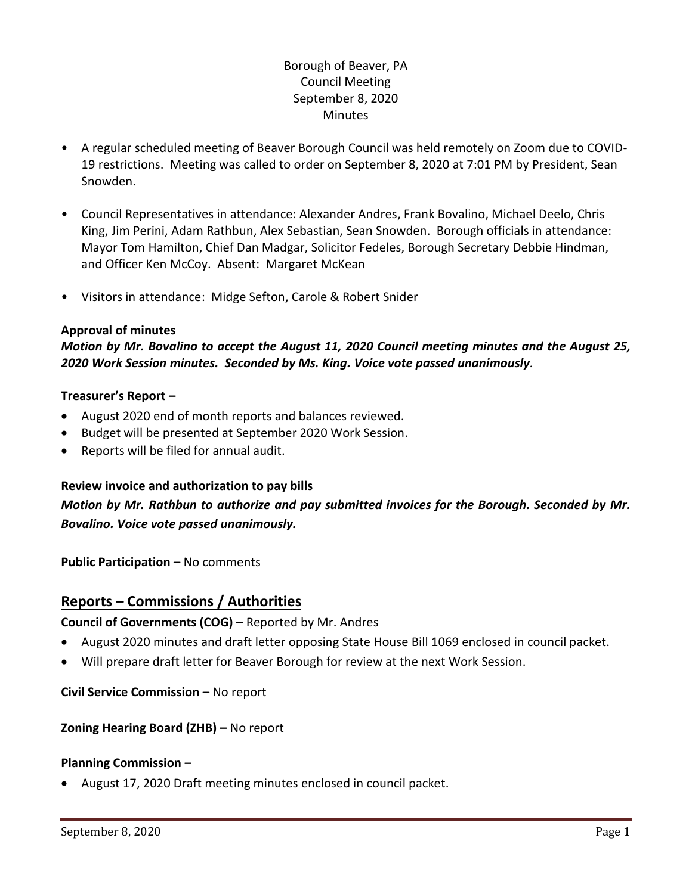# Borough of Beaver, PA Council Meeting September 8, 2020 **Minutes**

- A regular scheduled meeting of Beaver Borough Council was held remotely on Zoom due to COVID-19 restrictions. Meeting was called to order on September 8, 2020 at 7:01 PM by President, Sean Snowden.
- Council Representatives in attendance: Alexander Andres, Frank Bovalino, Michael Deelo, Chris King, Jim Perini, Adam Rathbun, Alex Sebastian, Sean Snowden. Borough officials in attendance: Mayor Tom Hamilton, Chief Dan Madgar, Solicitor Fedeles, Borough Secretary Debbie Hindman, and Officer Ken McCoy. Absent: Margaret McKean
- Visitors in attendance: Midge Sefton, Carole & Robert Snider

### **Approval of minutes**

*Motion by Mr. Bovalino to accept the August 11, 2020 Council meeting minutes and the August 25, 2020 Work Session minutes. Seconded by Ms. King. Voice vote passed unanimously.* 

### **Treasurer's Report –**

- August 2020 end of month reports and balances reviewed.
- Budget will be presented at September 2020 Work Session.
- Reports will be filed for annual audit.

### **Review invoice and authorization to pay bills**

*Motion by Mr. Rathbun to authorize and pay submitted invoices for the Borough. Seconded by Mr. Bovalino. Voice vote passed unanimously.*

**Public Participation – No comments** 

# **Reports – Commissions / Authorities**

**Council of Governments (COG) –** Reported by Mr. Andres

- August 2020 minutes and draft letter opposing State House Bill 1069 enclosed in council packet.
- Will prepare draft letter for Beaver Borough for review at the next Work Session.

**Civil Service Commission –** No report

### **Zoning Hearing Board (ZHB) –** No report

#### **Planning Commission –**

August 17, 2020 Draft meeting minutes enclosed in council packet.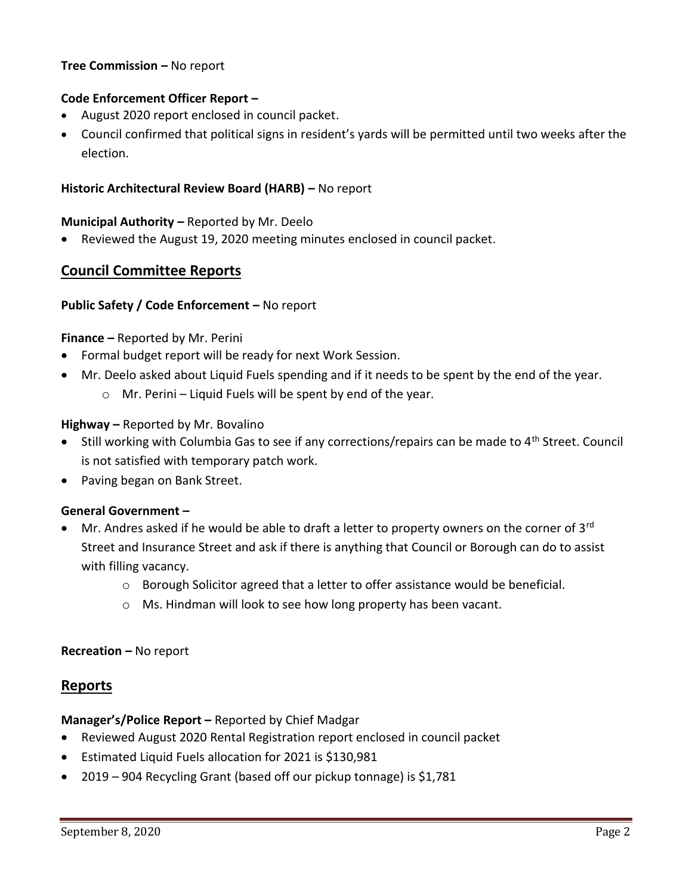### **Tree Commission –** No report

### **Code Enforcement Officer Report –**

- August 2020 report enclosed in council packet.
- Council confirmed that political signs in resident's yards will be permitted until two weeks after the election.

### **Historic Architectural Review Board (HARB) –** No report

### **Municipal Authority –** Reported by Mr. Deelo

Reviewed the August 19, 2020 meeting minutes enclosed in council packet.

# **Council Committee Reports**

#### **Public Safety / Code Enforcement –** No report

#### **Finance –** Reported by Mr. Perini

- Formal budget report will be ready for next Work Session.
- Mr. Deelo asked about Liquid Fuels spending and if it needs to be spent by the end of the year.
	- $\circ$  Mr. Perini Liquid Fuels will be spent by end of the year.

### **Highway –** Reported by Mr. Bovalino

- $\bullet$  Still working with Columbia Gas to see if any corrections/repairs can be made to 4<sup>th</sup> Street. Council is not satisfied with temporary patch work.
- Paving began on Bank Street.

### **General Government –**

- $\bullet$  Mr. Andres asked if he would be able to draft a letter to property owners on the corner of 3<sup>rd</sup> Street and Insurance Street and ask if there is anything that Council or Borough can do to assist with filling vacancy.
	- $\circ$  Borough Solicitor agreed that a letter to offer assistance would be beneficial.
	- o Ms. Hindman will look to see how long property has been vacant.

### **Recreation –** No report

# **Reports**

### **Manager's/Police Report –** Reported by Chief Madgar

- Reviewed August 2020 Rental Registration report enclosed in council packet
- Estimated Liquid Fuels allocation for 2021 is \$130,981
- 2019 904 Recycling Grant (based off our pickup tonnage) is \$1,781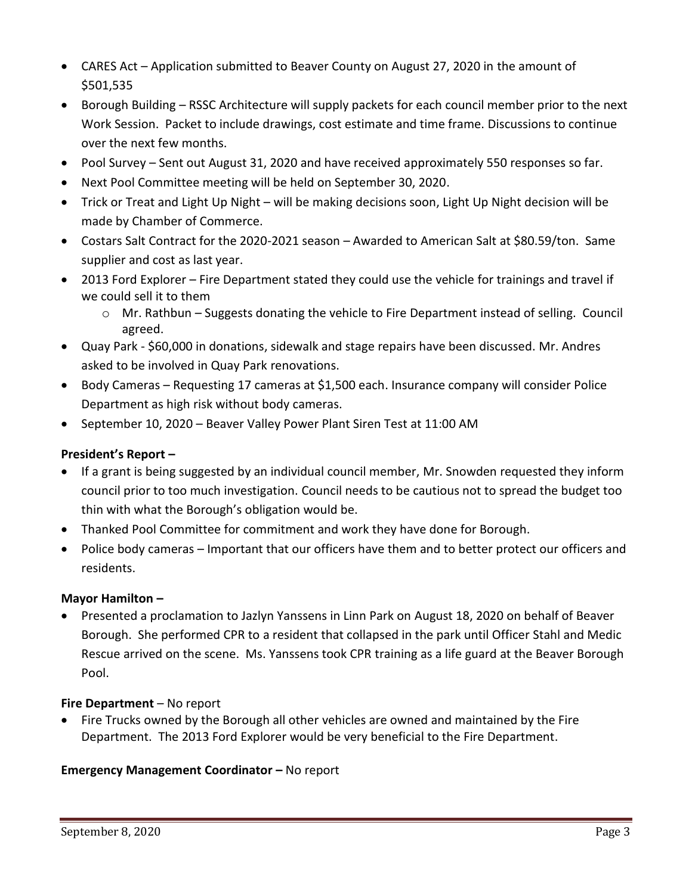- CARES Act Application submitted to Beaver County on August 27, 2020 in the amount of \$501,535
- Borough Building RSSC Architecture will supply packets for each council member prior to the next Work Session. Packet to include drawings, cost estimate and time frame. Discussions to continue over the next few months.
- Pool Survey Sent out August 31, 2020 and have received approximately 550 responses so far.
- Next Pool Committee meeting will be held on September 30, 2020.
- Trick or Treat and Light Up Night will be making decisions soon, Light Up Night decision will be made by Chamber of Commerce.
- Costars Salt Contract for the 2020-2021 season Awarded to American Salt at \$80.59/ton. Same supplier and cost as last year.
- 2013 Ford Explorer Fire Department stated they could use the vehicle for trainings and travel if we could sell it to them
	- o Mr. Rathbun Suggests donating the vehicle to Fire Department instead of selling. Council agreed.
- Quay Park \$60,000 in donations, sidewalk and stage repairs have been discussed. Mr. Andres asked to be involved in Quay Park renovations.
- Body Cameras Requesting 17 cameras at \$1,500 each. Insurance company will consider Police Department as high risk without body cameras.
- September 10, 2020 Beaver Valley Power Plant Siren Test at 11:00 AM

# **President's Report –**

- If a grant is being suggested by an individual council member, Mr. Snowden requested they inform council prior to too much investigation. Council needs to be cautious not to spread the budget too thin with what the Borough's obligation would be.
- Thanked Pool Committee for commitment and work they have done for Borough.
- Police body cameras Important that our officers have them and to better protect our officers and residents.

# **Mayor Hamilton –**

 Presented a proclamation to Jazlyn Yanssens in Linn Park on August 18, 2020 on behalf of Beaver Borough. She performed CPR to a resident that collapsed in the park until Officer Stahl and Medic Rescue arrived on the scene. Ms. Yanssens took CPR training as a life guard at the Beaver Borough Pool.

# **Fire Department** – No report

• Fire Trucks owned by the Borough all other vehicles are owned and maintained by the Fire Department. The 2013 Ford Explorer would be very beneficial to the Fire Department.

# **Emergency Management Coordinator - No report**